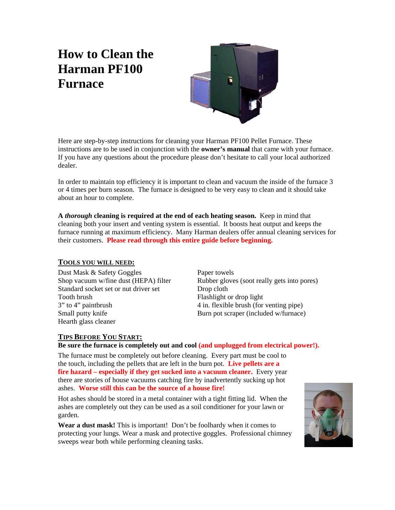# **How to Clean the Harman PF100 Furnace**



Here are step-by-step instructions for cleaning your Harman PF100 Pellet Furnace. These instructions are to be used in conjunction with the **owner's manual** that came with your furnace. If you have any questions about the procedure please don't hesitate to call your local authorized dealer.

In order to maintain top efficiency it is important to clean and vacuum the inside of the furnace 3 or 4 times per burn season. The furnace is designed to be very easy to clean and it should take about an hour to complete.

**A** *thorough* **cleaning is required at the end of each heating season.** Keep in mind that cleaning both your insert and venting system is essential. It boosts heat output and keeps the furnace running at maximum efficiency. Many Harman dealers offer annual cleaning services for their customers. **Please read through this entire guide before beginning.**

# **TOOLS YOU WILL NEED:**

Dust Mask & Safety Goggles Paper towels Standard socket set or nut driver set Drop cloth Tooth brush Flashlight or drop light 3" to 4" paintbrush4 in. flexible brush (for venting pipe) Small putty knife **Burn** pot scraper (included w/furnace) Hearth glass cleaner

Shop vacuum w/fine dust (HEPA) filter Rubber gloves (soot really gets into pores)

# **TIPS BEFORE YOU START:**

**Be sure the furnace is completely out and cool (and unplugged from electrical power!).** 

The furnace must be completely out before cleaning. Every part must be cool to the touch, including the pellets that are left in the burn pot. **Live pellets are a fire hazard – especially if they get sucked into a vacuum cleaner.** Every year there are stories of house vacuums catching fire by inadvertently sucking up hot ashes. **Worse still this can be the source of a house fire!**

Hot ashes should be stored in a metal container with a tight fitting lid. When the ashes are completely out they can be used as a soil conditioner for your lawn or garden.

**Wear a dust mask!** This is important! Don't be foolhardy when it comes to protecting your lungs. Wear a mask and protective goggles. Professional chimney sweeps wear both while performing cleaning tasks.

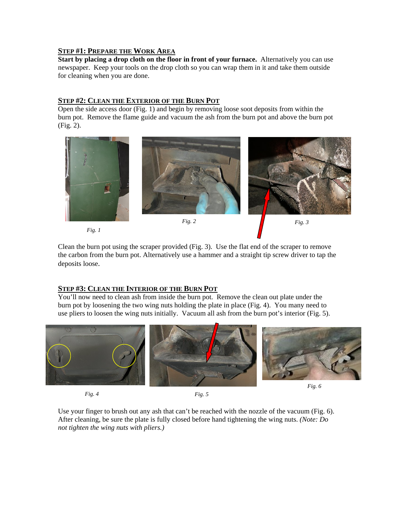# **STEP #1: PREPARE THE WORK AREA**

**Start by placing a drop cloth on the floor in front of your furnace.** Alternatively you can use newspaper. Keep your tools on the drop cloth so you can wrap them in it and take them outside for cleaning when you are done.

# **STEP #2: CLEAN THE EXTERIOR OF THE BURN POT**

Open the side access door (Fig. 1) and begin by removing loose soot deposits from within the burn pot. Remove the flame guide and vacuum the ash from the burn pot and above the burn pot (Fig. 2).



*Fig. 1* 

Clean the burn pot using the scraper provided (Fig. 3).Use the flat end of the scraper to remove the carbon from the burn pot. Alternatively use a hammer and a straight tip screw driver to tap the deposits loose.

# **STEP #3: CLEAN THE INTERIOR OF THE BURN POT**

You'll now need to clean ash from inside the burn pot.Remove the clean out plate under the burn pot by loosening the two wing nuts holding the plate in place (Fig. 4). You many need to use pliers to loosen the wing nuts initially. Vacuum all ash from the burn pot's interior (Fig. 5).



*Fig. 4 Fig. 5* 





Use your finger to brush out any ash that can't be reached with the nozzle of the vacuum (Fig. 6). After cleaning, be sure the plate is fully closed before hand tightening the wing nuts. *(Note: Do not tighten the wing nuts with pliers.)*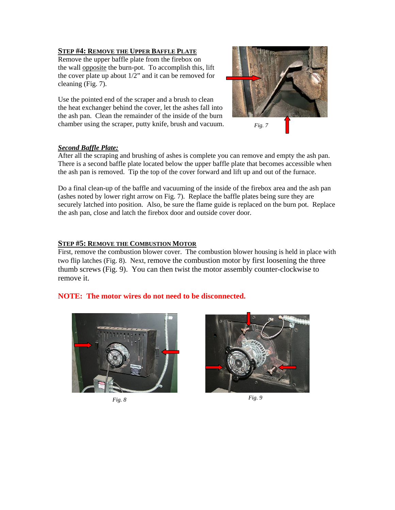# **STEP #4: REMOVE THE UPPER BAFFLE PLATE**

Remove the upper baffle plate from the firebox on the wall opposite the burn-pot. To accomplish this, lift the cover plate up about  $1/2$ " and it can be removed for cleaning (Fig. 7).

Use the pointed end of the scraper and a brush to clean the heat exchanger behind the cover, let the ashes fall into the ash pan. Clean the remainder of the inside of the burn chamber using the scraper, putty knife, brush and vacuum.



### *Second Baffle Plate:*

After all the scraping and brushing of ashes is complete you can remove and empty the ash pan. There is a second baffle plate located below the upper baffle plate that becomes accessible when the ash pan is removed. Tip the top of the cover forward and lift up and out of the furnace.

Do a final clean-up of the baffle and vacuuming of the inside of the firebox area and the ash pan (ashes noted by lower right arrow on Fig. 7). Replace the baffle plates being sure they are securely latched into position. Also, be sure the flame guide is replaced on the burn pot. Replace the ash pan, close and latch the firebox door and outside cover door.

# **STEP #5: REMOVE THE COMBUSTION MOTOR**

First, remove the combustion blower cover. The combustion blower housing is held in place with two flip latches (Fig. 8). Next, remove the combustion motor by first loosening the three thumb screws (Fig. 9). You can then twist the motor assembly counter-clockwise to remove it.

# **NOTE: The motor wires do not need to be disconnected.**





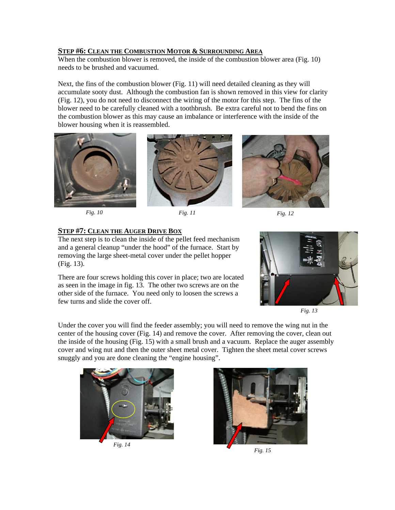## **STEP #6: CLEAN THE COMBUSTION MOTOR & SURROUNDING AREA**

When the combustion blower is removed, the inside of the combustion blower area (Fig. 10) needs to be brushed and vacuumed.

Next, the fins of the combustion blower (Fig. 11) will need detailed cleaning as they will accumulate sooty dust. Although the combustion fan is shown removed in this view for clarity (Fig. 12), you do not need to disconnect the wiring of the motor for this step. The fins of the blower need to be carefully cleaned with a toothbrush. Be extra careful not to bend the fins on the combustion blower as this may cause an imbalance or interference with the inside of the blower housing when it is reassembled.





*Fig. 10 Fig. 11 Fig. 12* 



#### **STEP #7: CLEAN THE AUGER DRIVE BOX**

The next step is to clean the inside of the pellet feed mechanism and a general cleanup "under the hood" of the furnace. Start by removing the large sheet-metal cover under the pellet hopper (Fig. 13).

There are four screws holding this cover in place; two are located as seen in the image in fig. 13. The other two screws are on the other side of the furnace. You need only to loosen the screws a few turns and slide the cover off.



*Fig. 13* 

Under the cover you will find the feeder assembly; you will need to remove the wing nut in the center of the housing cover (Fig. 14) and remove the cover. After removing the cover, clean out the inside of the housing (Fig. 15) with a small brush and a vacuum. Replace the auger assembly cover and wing nut and then the outer sheet metal cover. Tighten the sheet metal cover screws snuggly and you are done cleaning the "engine housing".





*Fig. 15*